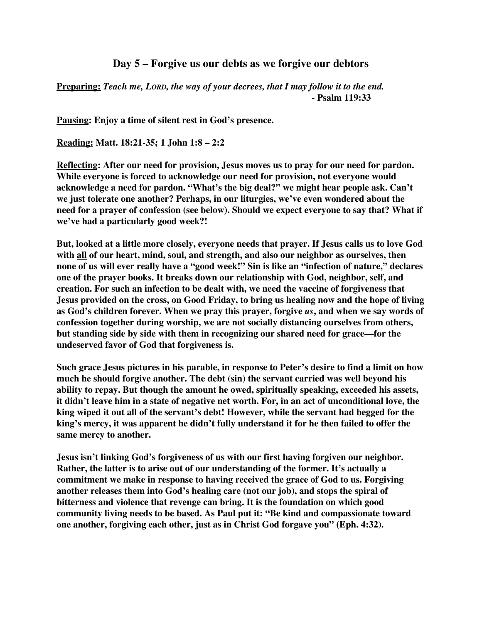## **Day 5 – Forgive us our debts as we forgive our debtors**

**Preparing:** *Teach me, LORD, the way of your decrees, that I may follow it to the end.* **- Psalm 119:33**

**Pausing: Enjoy a time of silent rest in God's presence.**

**Reading: Matt. 18:21-35; 1 John 1:8 – 2:2**

**Reflecting: After our need for provision, Jesus moves us to pray for our need for pardon. While everyone is forced to acknowledge our need for provision, not everyone would acknowledge a need for pardon. "What's the big deal?" we might hear people ask. Can't we just tolerate one another? Perhaps, in our liturgies, we've even wondered about the need for a prayer of confession (see below). Should we expect everyone to say that? What if we've had a particularly good week?!**

**But, looked at a little more closely, everyone needs that prayer. If Jesus calls us to love God with all of our heart, mind, soul, and strength, and also our neighbor as ourselves, then none of us will ever really have a "good week!" Sin is like an "infection of nature," declares one of the prayer books. It breaks down our relationship with God, neighbor, self, and creation. For such an infection to be dealt with, we need the vaccine of forgiveness that Jesus provided on the cross, on Good Friday, to bring us healing now and the hope of living as God's children forever. When we pray this prayer, forgive** *us***, and when we say words of confession together during worship, we are not socially distancing ourselves from others, but standing side by side with them in recognizing our shared need for grace—for the undeserved favor of God that forgiveness is.**

**Such grace Jesus pictures in his parable, in response to Peter's desire to find a limit on how much he should forgive another. The debt (sin) the servant carried was well beyond his ability to repay. But though the amount he owed, spiritually speaking, exceeded his assets, it didn't leave him in a state of negative net worth. For, in an act of unconditional love, the king wiped it out all of the servant's debt! However, while the servant had begged for the king's mercy, it was apparent he didn't fully understand it for he then failed to offer the same mercy to another.**

**Jesus isn't linking God's forgiveness of us with our first having forgiven our neighbor. Rather, the latter is to arise out of our understanding of the former. It's actually a commitment we make in response to having received the grace of God to us. Forgiving another releases them into God's healing care (not our job), and stops the spiral of bitterness and violence that revenge can bring. It is the foundation on which good community living needs to be based. As Paul put it: "Be kind and compassionate toward one another, forgiving each other, just as in Christ God forgave you" (Eph. 4:32).**